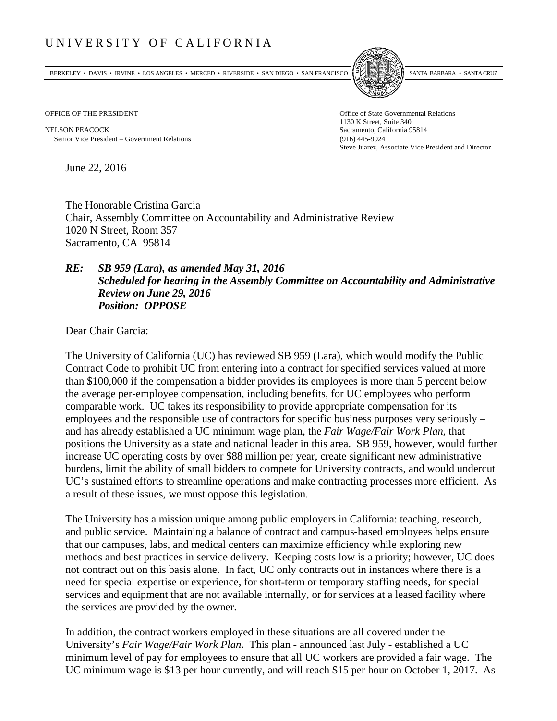## UNIVERSITY OF CALIFORNIA

BERKELEY • DAVIS • IRVINE • LOS ANGELES • MERCED • RIVERSIDE • SAN DIEGO • SAN FRANCISCO SANTA BARBARA • SANTA CRUZ



NELSON PEACOCK Sacramento, California 95814 Senior Vice President Government Relations (916) 445-9924

OFFICE OF THE PRESIDENT STATES OF THE PRESIDENT 1130 K Street, Suite 340 Steve Juarez, Associate Vice President and Director

June 22, 2016

The Honorable Cristina Garcia Chair, Assembly Committee on Accountability and Administrative Review 1020 N Street, Room 357 Sacramento, CA 95814

## *RE: SB 959 (Lara), as amended May 31, 2016 Scheduled for hearing in the Assembly Committee on Accountability and Administrative Review on June 29, 2016 Position: OPPOSE*

Dear Chair Garcia:

The University of California (UC) has reviewed SB 959 (Lara), which would modify the Public Contract Code to prohibit UC from entering into a contract for specified services valued at more than \$100,000 if the compensation a bidder provides its employees is more than 5 percent below the average per-employee compensation, including benefits, for UC employees who perform comparable work. UC takes its responsibility to provide appropriate compensation for its employees and the responsible use of contractors for specific business purposes very seriously – and has already established a UC minimum wage plan, the *Fair Wage/Fair Work Plan,* that positions the University as a state and national leader in this area. SB 959, however, would further increase UC operating costs by over \$88 million per year, create significant new administrative burdens, limit the ability of small bidders to compete for University contracts, and would undercut UC's sustained efforts to streamline operations and make contracting processes more efficient. As a result of these issues, we must oppose this legislation.

The University has a mission unique among public employers in California: teaching, research, and public service. Maintaining a balance of contract and campus‐based employees helps ensure that our campuses, labs, and medical centers can maximize efficiency while exploring new methods and best practices in service delivery. Keeping costs low is a priority; however, UC does not contract out on this basis alone. In fact, UC only contracts out in instances where there is a need for special expertise or experience, for short-term or temporary staffing needs, for special services and equipment that are not available internally, or for services at a leased facility where the services are provided by the owner.

In addition, the contract workers employed in these situations are all covered under the University's *Fair Wage/Fair Work Plan*. This plan - announced last July - established a UC minimum level of pay for employees to ensure that all UC workers are provided a fair wage. The UC minimum wage is \$13 per hour currently, and will reach \$15 per hour on October 1, 2017. As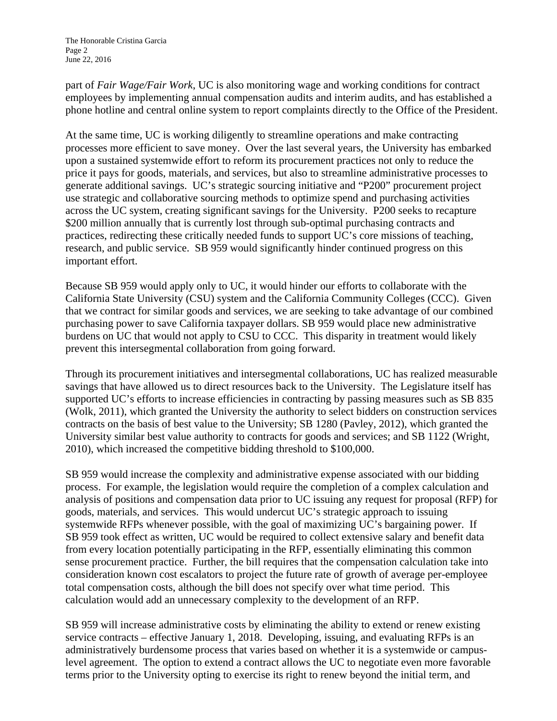part of *Fair Wage/Fair Work*, UC is also monitoring wage and working conditions for contract employees by implementing annual compensation audits and interim audits, and has established a phone hotline and central online system to report complaints directly to the Office of the President.

At the same time, UC is working diligently to streamline operations and make contracting processes more efficient to save money. Over the last several years, the University has embarked upon a sustained systemwide effort to reform its procurement practices not only to reduce the price it pays for goods, materials, and services, but also to streamline administrative processes to generate additional savings. UC's strategic sourcing initiative and "P200" procurement project use strategic and collaborative sourcing methods to optimize spend and purchasing activities across the UC system, creating significant savings for the University. P200 seeks to recapture \$200 million annually that is currently lost through sub-optimal purchasing contracts and practices, redirecting these critically needed funds to support UC's core missions of teaching, research, and public service. SB 959 would significantly hinder continued progress on this important effort.

Because SB 959 would apply only to UC, it would hinder our efforts to collaborate with the California State University (CSU) system and the California Community Colleges (CCC). Given that we contract for similar goods and services, we are seeking to take advantage of our combined purchasing power to save California taxpayer dollars. SB 959 would place new administrative burdens on UC that would not apply to CSU to CCC. This disparity in treatment would likely prevent this intersegmental collaboration from going forward.

Through its procurement initiatives and intersegmental collaborations, UC has realized measurable savings that have allowed us to direct resources back to the University. The Legislature itself has supported UC's efforts to increase efficiencies in contracting by passing measures such as SB 835 (Wolk, 2011), which granted the University the authority to select bidders on construction services contracts on the basis of best value to the University; SB 1280 (Pavley, 2012), which granted the University similar best value authority to contracts for goods and services; and SB 1122 (Wright, 2010), which increased the competitive bidding threshold to \$100,000.

SB 959 would increase the complexity and administrative expense associated with our bidding process. For example, the legislation would require the completion of a complex calculation and analysis of positions and compensation data prior to UC issuing any request for proposal (RFP) for goods, materials, and services. This would undercut UC's strategic approach to issuing systemwide RFPs whenever possible, with the goal of maximizing UC's bargaining power. If SB 959 took effect as written, UC would be required to collect extensive salary and benefit data from every location potentially participating in the RFP, essentially eliminating this common sense procurement practice. Further, the bill requires that the compensation calculation take into consideration known cost escalators to project the future rate of growth of average per-employee total compensation costs, although the bill does not specify over what time period. This calculation would add an unnecessary complexity to the development of an RFP.

SB 959 will increase administrative costs by eliminating the ability to extend or renew existing service contracts – effective January 1, 2018. Developing, issuing, and evaluating RFPs is an administratively burdensome process that varies based on whether it is a systemwide or campuslevel agreement. The option to extend a contract allows the UC to negotiate even more favorable terms prior to the University opting to exercise its right to renew beyond the initial term, and